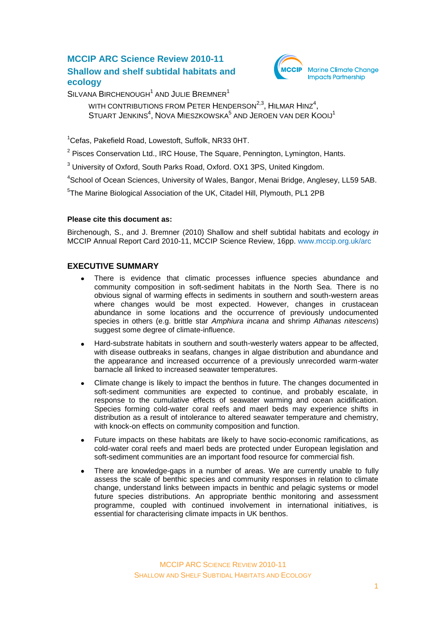# **MCCIP ARC Science Review 2010-11 Shallow and shelf subtidal habitats and ecology**



SILVANA BIRCHENOUGH<sup>1</sup> AND JULIE BREMNER<sup>1</sup>

WITH CONTRIBUTIONS FROM PETER  $H$ ENDERSON $^{2,3}$ , HILMAR  ${\sf HINZ}^4$ , STUART JENKINS<sup>4</sup>, NOVA MIESZKOWSKA<sup>5</sup> AND JEROEN VAN DER KOOIJ<sup>1</sup>

<sup>1</sup>Cefas, Pakefield Road, Lowestoft, Suffolk, NR33 0HT.

<sup>2</sup> Pisces Conservation Ltd., IRC House, The Square, Pennington, Lymington, Hants.

<sup>3</sup> University of Oxford, South Parks Road, Oxford. OX1 3PS, United Kingdom.

<sup>4</sup>School of Ocean Sciences, University of Wales, Bangor, Menai Bridge, Anglesey, LL59 5AB.

<sup>5</sup>The Marine Biological Association of the UK, Citadel Hill, Plymouth, PL1 2PB

#### **Please cite this document as:**

Birchenough, S., and J. Bremner (2010) Shallow and shelf subtidal habitats and ecology *in* MCCIP Annual Report Card 2010-11, MCCIP Science Review, 16pp. [www.mccip.org.uk/arc](http://www.mccip.org.uk/arc)

## **EXECUTIVE SUMMARY**

- There is evidence that climatic processes influence species abundance and community composition in soft-sediment habitats in the North Sea. There is no obvious signal of warming effects in sediments in southern and south-western areas where changes would be most expected. However, changes in crustacean abundance in some locations and the occurrence of previously undocumented species in others (e.g. brittle star *Amphiura incana* and shrimp *Athanas nitescens*) suggest some degree of climate-influence.
- Hard-substrate habitats in southern and south-westerly waters appear to be affected, with disease outbreaks in seafans, changes in algae distribution and abundance and the appearance and increased occurrence of a previously unrecorded warm-water barnacle all linked to increased seawater temperatures.
- Climate change is likely to impact the benthos in future. The changes documented in  $\bullet$ soft-sediment communities are expected to continue, and probably escalate, in response to the cumulative effects of seawater warming and ocean acidification. Species forming cold-water coral reefs and maerl beds may experience shifts in distribution as a result of intolerance to altered seawater temperature and chemistry, with knock-on effects on community composition and function.
- Future impacts on these habitats are likely to have socio-economic ramifications, as cold-water coral reefs and maerl beds are protected under European legislation and soft-sediment communities are an important food resource for commercial fish.
- There are knowledge-gaps in a number of areas. We are currently unable to fully assess the scale of benthic species and community responses in relation to climate change, understand links between impacts in benthic and pelagic systems or model future species distributions. An appropriate benthic monitoring and assessment programme, coupled with continued involvement in international initiatives, is essential for characterising climate impacts in UK benthos.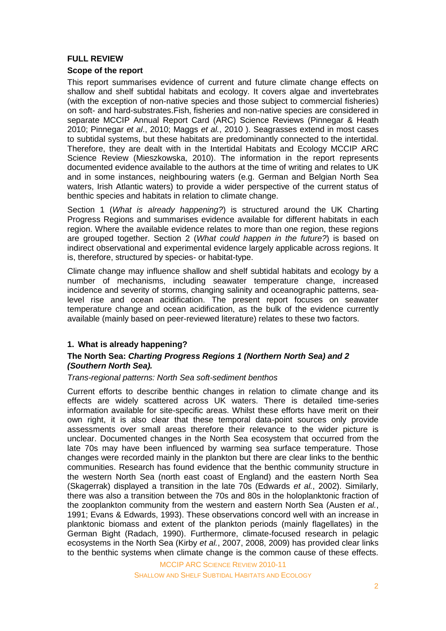## **FULL REVIEW**

### **Scope of the report**

This report summarises evidence of current and future climate change effects on shallow and shelf subtidal habitats and ecology. It covers algae and invertebrates (with the exception of non-native species and those subject to commercial fisheries) on soft- and hard-substrates.Fish, fisheries and non-native species are considered in separate MCCIP Annual Report Card (ARC) Science Reviews (Pinnegar & Heath 2010; Pinnegar *et al*., 2010; Maggs *et al.*, 2010 ). Seagrasses extend in most cases to subtidal systems, but these habitats are predominantly connected to the intertidal. Therefore, they are dealt with in the Intertidal Habitats and Ecology MCCIP ARC Science Review (Mieszkowska, 2010). The information in the report represents documented evidence available to the authors at the time of writing and relates to UK and in some instances, neighbouring waters (e.g. German and Belgian North Sea waters, Irish Atlantic waters) to provide a wider perspective of the current status of benthic species and habitats in relation to climate change.

Section 1 (*What is already happening?*) is structured around the UK Charting Progress Regions and summarises evidence available for different habitats in each region. Where the available evidence relates to more than one region, these regions are grouped together. Section 2 (*What could happen in the future?*) is based on indirect observational and experimental evidence largely applicable across regions. It is, therefore, structured by species- or habitat-type.

Climate change may influence shallow and shelf subtidal habitats and ecology by a number of mechanisms, including seawater temperature change, increased incidence and severity of storms, changing salinity and oceanographic patterns, sealevel rise and ocean acidification. The present report focuses on seawater temperature change and ocean acidification, as the bulk of the evidence currently available (mainly based on peer-reviewed literature) relates to these two factors.

## **1. What is already happening?**

## **The North Sea:** *Charting Progress Regions 1 (Northern North Sea) and 2 (Southern North Sea).*

#### *Trans-regional patterns: North Sea soft-sediment benthos*

Current efforts to describe benthic changes in relation to climate change and its effects are widely scattered across UK waters. There is detailed time-series information available for site-specific areas. Whilst these efforts have merit on their own right, it is also clear that these temporal data-point sources only provide assessments over small areas therefore their relevance to the wider picture is unclear. Documented changes in the North Sea ecosystem that occurred from the late 70s may have been influenced by warming sea surface temperature. Those changes were recorded mainly in the plankton but there are clear links to the benthic communities. Research has found evidence that the benthic community structure in the western North Sea (north east coast of England) and the eastern North Sea (Skagerrak) displayed a transition in the late 70s (Edwards *et al.*, 2002). Similarly, there was also a transition between the 70s and 80s in the holoplanktonic fraction of the zooplankton community from the western and eastern North Sea (Austen *et al.*, 1991; Evans & Edwards, 1993). These observations concord well with an increase in planktonic biomass and extent of the plankton periods (mainly flagellates) in the German Bight (Radach, 1990). Furthermore, climate-focused research in pelagic ecosystems in the North Sea (Kirby *et al.*, 2007, 2008, 2009) has provided clear links to the benthic systems when climate change is the common cause of these effects.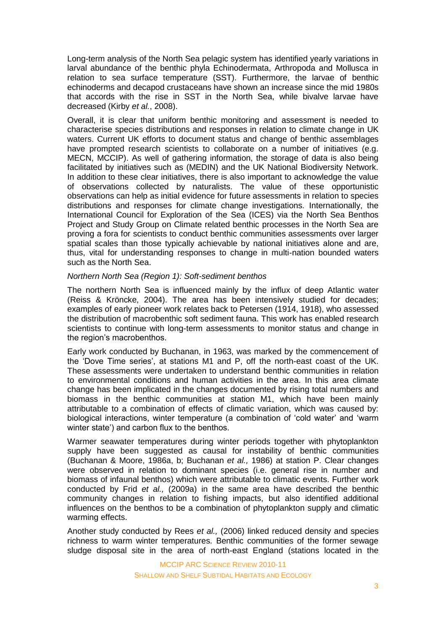Long-term analysis of the North Sea pelagic system has identified yearly variations in larval abundance of the benthic phyla Echinodermata, Arthropoda and Mollusca in relation to sea surface temperature (SST). Furthermore, the larvae of benthic echinoderms and decapod crustaceans have shown an increase since the mid 1980s that accords with the rise in SST in the North Sea, while bivalve larvae have decreased (Kirby *et al.*, 2008).

Overall, it is clear that uniform benthic monitoring and assessment is needed to characterise species distributions and responses in relation to climate change in UK waters. Current UK efforts to document status and change of benthic assemblages have prompted research scientists to collaborate on a number of initiatives (e.g. MECN, MCCIP). As well of gathering information, the storage of data is also being facilitated by initiatives such as (MEDIN) and the UK National Biodiversity Network. In addition to these clear initiatives, there is also important to acknowledge the value of observations collected by naturalists. The value of these opportunistic observations can help as initial evidence for future assessments in relation to species distributions and responses for climate change investigations. Internationally, the International Council for Exploration of the Sea (ICES) via the North Sea Benthos Project and Study Group on Climate related benthic processes in the North Sea are proving a fora for scientists to conduct benthic communities assessments over larger spatial scales than those typically achievable by national initiatives alone and are, thus, vital for understanding responses to change in multi-nation bounded waters such as the North Sea.

### *Northern North Sea (Region 1): Soft-sediment benthos*

The northern North Sea is influenced mainly by the influx of deep Atlantic water (Reiss & Kröncke, 2004). The area has been intensively studied for decades; examples of early pioneer work relates back to Petersen (1914, 1918), who assessed the distribution of macrobenthic soft sediment fauna. This work has enabled research scientists to continue with long-term assessments to monitor status and change in the region's macrobenthos.

Early work conducted by Buchanan, in 1963, was marked by the commencement of the 'Dove Time series', at stations M1 and P, off the north-east coast of the UK. These assessments were undertaken to understand benthic communities in relation to environmental conditions and human activities in the area. In this area climate change has been implicated in the changes documented by rising total numbers and biomass in the benthic communities at station M1, which have been mainly attributable to a combination of effects of climatic variation, which was caused by: biological interactions, winter temperature (a combination of 'cold water' and 'warm winter state') and carbon flux to the benthos.

Warmer seawater temperatures during winter periods together with phytoplankton supply have been suggested as causal for instability of benthic communities (Buchanan & Moore, 1986a, b; Buchanan *et al.,* 1986) at station P. Clear changes were observed in relation to dominant species (i.e. general rise in number and biomass of infaunal benthos) which were attributable to climatic events. Further work conducted by Frid *et al.,* (2009a) in the same area have described the benthic community changes in relation to fishing impacts, but also identified additional influences on the benthos to be a combination of phytoplankton supply and climatic warming effects.

Another study conducted by Rees *et al.,* (2006) linked reduced density and species richness to warm winter temperatures. Benthic communities of the former sewage sludge disposal site in the area of north-east England (stations located in the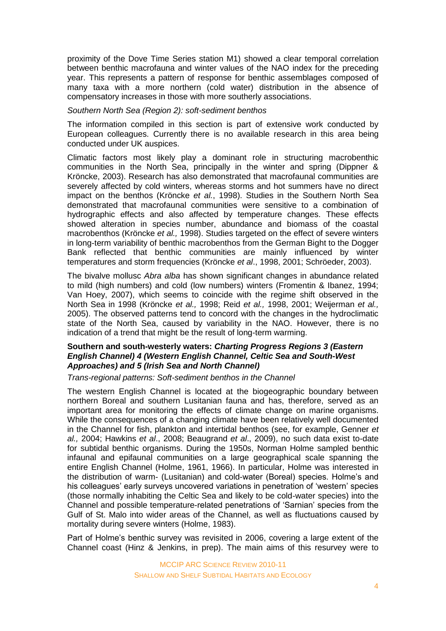proximity of the Dove Time Series station M1) showed a clear temporal correlation between benthic macrofauna and winter values of the NAO index for the preceding year. This represents a pattern of response for benthic assemblages composed of many taxa with a more northern (cold water) distribution in the absence of compensatory increases in those with more southerly associations.

### *Southern North Sea (Region 2): soft-sediment benthos*

The information compiled in this section is part of extensive work conducted by European colleagues. Currently there is no available research in this area being conducted under UK auspices.

Climatic factors most likely play a dominant role in structuring macrobenthic communities in the North Sea, principally in the winter and spring (Dippner & Kröncke, 2003). Research has also demonstrated that macrofaunal communities are severely affected by cold winters, whereas storms and hot summers have no direct impact on the benthos (Kröncke *et al.*, 1998). Studies in the Southern North Sea demonstrated that macrofaunal communities were sensitive to a combination of hydrographic effects and also affected by temperature changes. These effects showed alteration in species number, abundance and biomass of the coastal macrobenthos (Kröncke *et al.,* 1998). Studies targeted on the effect of severe winters in long-term variability of benthic macrobenthos from the German Bight to the Dogger Bank reflected that benthic communities are mainly influenced by winter temperatures and storm frequencies (Kröncke *et al*., 1998, 2001; Schröeder, 2003).

The bivalve mollusc *Abra alba* has shown significant changes in abundance related to mild (high numbers) and cold (low numbers) winters (Fromentin & Ibanez, 1994; Van Hoey, 2007), which seems to coincide with the regime shift observed in the North Sea in 1998 (Kröncke *et al.,* 1998; Reid *et al.,* 1998, 2001; Weijerman *et al.,* 2005). The observed patterns tend to concord with the changes in the hydroclimatic state of the North Sea, caused by variability in the NAO. However, there is no indication of a trend that might be the result of long-term warming.

### **Southern and south-westerly waters:** *Charting Progress Regions 3 (Eastern English Channel) 4 (Western English Channel, Celtic Sea and South-West Approaches) and 5 (Irish Sea and North Channel)*

*Trans-regional patterns: Soft-sediment benthos in the Channel*

The western English Channel is located at the biogeographic boundary between northern Boreal and southern Lusitanian fauna and has, therefore, served as an important area for monitoring the effects of climate change on marine organisms. While the consequences of a changing climate have been relatively well documented in the Channel for fish, plankton and intertidal benthos (see, for example, Genner *et al.,* 2004; Hawkins *et al*., 2008; Beaugrand *et al*., 2009), no such data exist to-date for subtidal benthic organisms. During the 1950s, Norman Holme sampled benthic infaunal and epifaunal communities on a large geographical scale spanning the entire English Channel (Holme, 1961, 1966). In particular, Holme was interested in the distribution of warm- (Lusitanian) and cold-water (Boreal) species. Holme's and his colleagues' early surveys uncovered variations in penetration of 'western' species (those normally inhabiting the Celtic Sea and likely to be cold-water species) into the Channel and possible temperature-related penetrations of 'Sarnian' species from the Gulf of St. Malo into wider areas of the Channel, as well as fluctuations caused by mortality during severe winters (Holme, 1983).

Part of Holme's benthic survey was revisited in 2006, covering a large extent of the Channel coast (Hinz & Jenkins, in prep). The main aims of this resurvey were to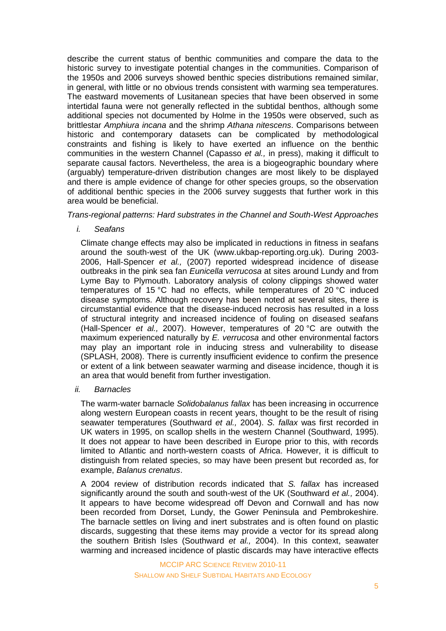describe the current status of benthic communities and compare the data to the historic survey to investigate potential changes in the communities. Comparison of the 1950s and 2006 surveys showed benthic species distributions remained similar, in general, with little or no obvious trends consistent with warming sea temperatures. The eastward movements of Lusitanean species that have been observed in some intertidal fauna were not generally reflected in the subtidal benthos, although some additional species not documented by Holme in the 1950s were observed, such as brittlestar *Amphiura incana* and the shrimp *Athana nitescens*. Comparisons between historic and contemporary datasets can be complicated by methodological constraints and fishing is likely to have exerted an influence on the benthic communities in the western Channel (Capasso *et al.,* in press), making it difficult to separate causal factors. Nevertheless, the area is a biogeographic boundary where (arguably) temperature-driven distribution changes are most likely to be displayed and there is ample evidence of change for other species groups, so the observation of additional benthic species in the 2006 survey suggests that further work in this area would be beneficial.

### *Trans-regional patterns: Hard substrates in the Channel and South-West Approaches*

*i. Seafans*

Climate change effects may also be implicated in reductions in fitness in seafans around the south-west of the UK (www.ukbap-reporting.org.uk). During 2003- 2006, Hall-Spencer *et al.,* (2007) reported widespread incidence of disease outbreaks in the pink sea fan *Eunicella verrucosa* at sites around Lundy and from Lyme Bay to Plymouth. Laboratory analysis of colony clippings showed water temperatures of 15 °C had no effects, while temperatures of 20 °C induced disease symptoms. Although recovery has been noted at several sites, there is circumstantial evidence that the disease-induced necrosis has resulted in a loss of structural integrity and increased incidence of fouling on diseased seafans (Hall-Spencer *et al.,* 2007). However, temperatures of 20 °C are outwith the maximum experienced naturally by *E. verrucosa* and other environmental factors may play an important role in inducing stress and vulnerability to disease (SPLASH, 2008). There is currently insufficient evidence to confirm the presence or extent of a link between seawater warming and disease incidence, though it is an area that would benefit from further investigation.

*ii. Barnacles*

The warm-water barnacle *Solidobalanus fallax* has been increasing in occurrence along western European coasts in recent years, thought to be the result of rising seawater temperatures (Southward *et al.,* 2004). *S. fallax* was first recorded in UK waters in 1995, on scallop shells in the western Channel (Southward, 1995). It does not appear to have been described in Europe prior to this, with records limited to Atlantic and north-western coasts of Africa. However, it is difficult to distinguish from related species, so may have been present but recorded as, for example, *Balanus crenatus*.

A 2004 review of distribution records indicated that *S. fallax* has increased significantly around the south and south-west of the UK (Southward *et al.,* 2004). It appears to have become widespread off Devon and Cornwall and has now been recorded from Dorset, Lundy, the Gower Peninsula and Pembrokeshire. The barnacle settles on living and inert substrates and is often found on plastic discards, suggesting that these items may provide a vector for its spread along the southern British Isles (Southward *et al.,* 2004). In this context, seawater warming and increased incidence of plastic discards may have interactive effects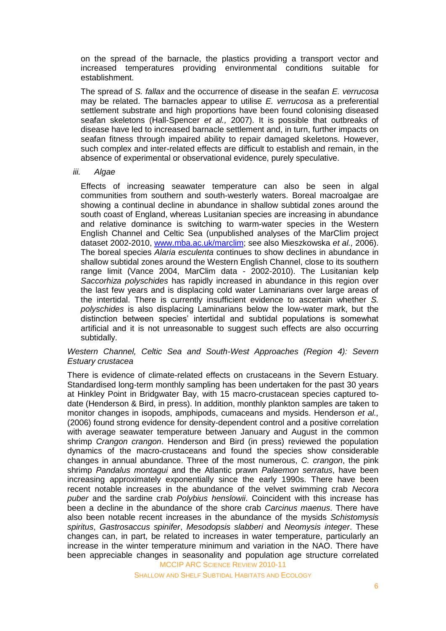on the spread of the barnacle, the plastics providing a transport vector and increased temperatures providing environmental conditions suitable for establishment.

The spread of *S. fallax* and the occurrence of disease in the seafan *E. verrucosa* may be related. The barnacles appear to utilise *E. verrucosa* as a preferential settlement substrate and high proportions have been found colonising diseased seafan skeletons (Hall-Spencer *et al.,* 2007). It is possible that outbreaks of disease have led to increased barnacle settlement and, in turn, further impacts on seafan fitness through impaired ability to repair damaged skeletons. However, such complex and inter-related effects are difficult to establish and remain, in the absence of experimental or observational evidence, purely speculative.

#### *iii. Algae*

Effects of increasing seawater temperature can also be seen in algal communities from southern and south-westerly waters. Boreal macroalgae are showing a continual decline in abundance in shallow subtidal zones around the south coast of England, whereas Lusitanian species are increasing in abundance and relative dominance is switching to warm-water species in the Western English Channel and Celtic Sea (unpublished analyses of the MarClim project dataset 2002-2010, [www.mba.ac.uk/marclim;](http://www.mba.ac.uk/marclim) see also Mieszkowska *et al.,* 2006). The boreal species *Alaria esculenta* continues to show declines in abundance in shallow subtidal zones around the Western English Channel, close to its southern range limit (Vance 2004, MarClim data - 2002-2010). The Lusitanian kelp *Saccorhiza polyschides* has rapidly increased in abundance in this region over the last few years and is displacing cold water Laminarians over large areas of the intertidal. There is currently insufficient evidence to ascertain whether *S. polyschides* is also displacing Laminarians below the low-water mark, but the distinction between species' intertidal and subtidal populations is somewhat artificial and it is not unreasonable to suggest such effects are also occurring subtidally.

#### *Western Channel, Celtic Sea and South-West Approaches (Region 4): Severn Estuary crustacea*

There is evidence of climate-related effects on crustaceans in the Severn Estuary. Standardised long-term monthly sampling has been undertaken for the past 30 years at Hinkley Point in Bridgwater Bay, with 15 macro-crustacean species captured todate (Henderson & Bird, in press). In addition, monthly plankton samples are taken to monitor changes in isopods, amphipods, cumaceans and mysids. Henderson *et al.,*  (2006) found strong evidence for density-dependent control and a positive correlation with average seawater temperature between January and August in the common shrimp *Crangon crangon*. Henderson and Bird (in press) reviewed the population dynamics of the macro-crustaceans and found the species show considerable changes in annual abundance. Three of the most numerous, *C. crangon*, the pink shrimp *Pandalus montagui* and the Atlantic prawn *Palaemon serratus*, have been increasing approximately exponentially since the early 1990s. There have been recent notable increases in the abundance of the velvet swimming crab *Necora puber* and the sardine crab *Polybius henslowii*. Coincident with this increase has been a decline in the abundance of the shore crab *Carcinus maenus*. There have also been notable recent increases in the abundance of the mysids *Schistomysis spiritus*, *Gastrosaccus spinifer*, *Mesodopsis slabberi* and *Neomysis integer*. These changes can, in part, be related to increases in water temperature, particularly an increase in the winter temperature minimum and variation in the NAO. There have been appreciable changes in seasonality and population age structure correlated

MCCIP ARC SCIENCE REVIEW 2010-11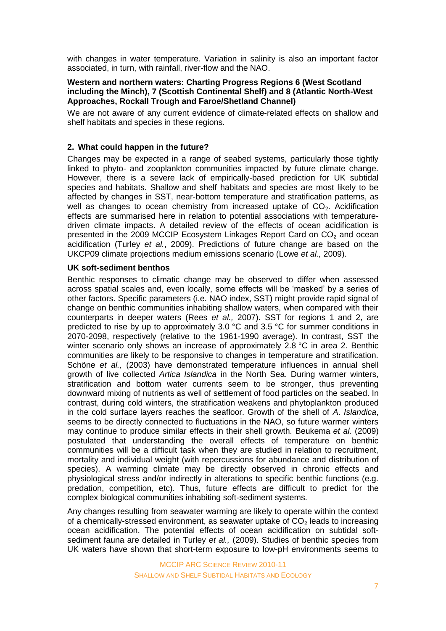with changes in water temperature. Variation in salinity is also an important factor associated, in turn, with rainfall, river-flow and the NAO.

#### **Western and northern waters: Charting Progress Regions 6 (West Scotland including the Minch), 7 (Scottish Continental Shelf) and 8 (Atlantic North-West Approaches, Rockall Trough and Faroe/Shetland Channel)**

We are not aware of any current evidence of climate-related effects on shallow and shelf habitats and species in these regions.

### **2. What could happen in the future?**

Changes may be expected in a range of seabed systems, particularly those tightly linked to phyto- and zooplankton communities impacted by future climate change. However, there is a severe lack of empirically-based prediction for UK subtidal species and habitats. Shallow and shelf habitats and species are most likely to be affected by changes in SST, near-bottom temperature and stratification patterns, as well as changes to ocean chemistry from increased uptake of  $CO<sub>2</sub>$ . Acidification effects are summarised here in relation to potential associations with temperaturedriven climate impacts. A detailed review of the effects of ocean acidification is presented in the 2009 MCCIP Ecosystem Linkages Report Card on  $CO<sub>2</sub>$  and ocean acidification (Turley *et al.*, 2009). Predictions of future change are based on the UKCP09 climate projections medium emissions scenario (Lowe *et al.,* 2009).

### **UK soft-sediment benthos**

Benthic responses to climatic change may be observed to differ when assessed across spatial scales and, even locally, some effects will be 'masked' by a series of other factors. Specific parameters (i.e. NAO index, SST) might provide rapid signal of change on benthic communities inhabiting shallow waters, when compared with their counterparts in deeper waters (Rees *et al.,* 2007). SST for regions 1 and 2, are predicted to rise by up to approximately 3.0 °C and 3.5 °C for summer conditions in 2070-2098, respectively (relative to the 1961-1990 average). In contrast, SST the winter scenario only shows an increase of approximately 2.8 °C in area 2. Benthic communities are likely to be responsive to changes in temperature and stratification. Schöne *et al.,* (2003) have demonstrated temperature influences in annual shell growth of live collected *Artica Islandica* in the North Sea. During warmer winters, stratification and bottom water currents seem to be stronger, thus preventing downward mixing of nutrients as well of settlement of food particles on the seabed. In contrast, during cold winters, the stratification weakens and phytoplankton produced in the cold surface layers reaches the seafloor. Growth of the shell of *A*. *Islandica*, seems to be directly connected to fluctuations in the NAO, so future warmer winters may continue to produce similar effects in their shell growth*.* Beukema *et al.* (2009) postulated that understanding the overall effects of temperature on benthic communities will be a difficult task when they are studied in relation to recruitment, mortality and individual weight (with repercussions for abundance and distribution of species). A warming climate may be directly observed in chronic effects and physiological stress and/or indirectly in alterations to specific benthic functions (e.g. predation, competition, etc). Thus, future effects are difficult to predict for the complex biological communities inhabiting soft-sediment systems.

Any changes resulting from seawater warming are likely to operate within the context of a chemically-stressed environment, as seawater uptake of  $CO<sub>2</sub>$  leads to increasing ocean acidification. The potential effects of ocean acidification on subtidal softsediment fauna are detailed in Turley *et al.,* (2009). Studies of benthic species from UK waters have shown that short-term exposure to low-pH environments seems to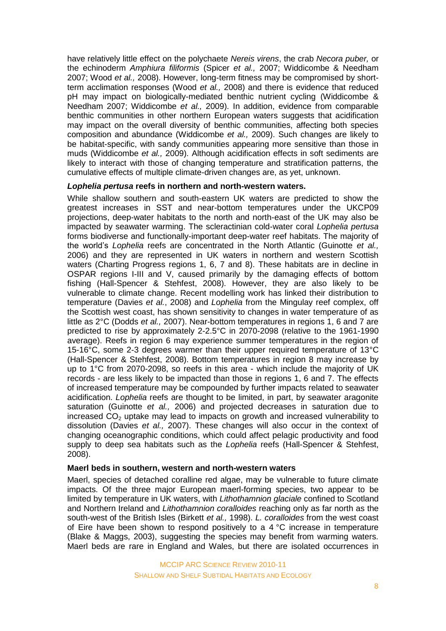have relatively little effect on the polychaete *Nereis virens*, the crab *Necora puber,* or the echinoderm *Amphiura filiformis* (Spicer *et al.,* 2007; Widdicombe & Needham 2007; Wood *et al.,* 2008). However, long-term fitness may be compromised by shortterm acclimation responses (Wood *et al.,* 2008) and there is evidence that reduced pH may impact on biologically-mediated benthic nutrient cycling (Widdicombe & Needham 2007; Widdicombe *et al.,* 2009). In addition, evidence from comparable benthic communities in other northern European waters suggests that acidification may impact on the overall diversity of benthic communities, affecting both species composition and abundance (Widdicombe *et al.,* 2009). Such changes are likely to be habitat-specific, with sandy communities appearing more sensitive than those in muds (Widdicombe *et al.,* 2009). Although acidification effects in soft sediments are likely to interact with those of changing temperature and stratification patterns, the cumulative effects of multiple climate-driven changes are, as yet, unknown.

### *Lophelia pertusa* **reefs in northern and north-western waters.**

While shallow southern and south-eastern UK waters are predicted to show the greatest increases in SST and near-bottom temperatures under the UKCP09 projections, deep-water habitats to the north and north-east of the UK may also be impacted by seawater warming. The scleractinian cold-water coral *Lophelia pertusa* forms biodiverse and functionally-important deep-water reef habitats. The majority of the world's *Lophelia* reefs are concentrated in the North Atlantic (Guinotte *et al.,* 2006) and they are represented in UK waters in northern and western Scottish waters (Charting Progress regions 1, 6, 7 and 8). These habitats are in decline in OSPAR regions I-III and V, caused primarily by the damaging effects of bottom fishing (Hall-Spencer & Stehfest, 2008). However, they are also likely to be vulnerable to climate change. Recent modelling work has linked their distribution to temperature (Davies *et al.*, 2008) and *Lophelia* from the Mingulay reef complex, off the Scottish west coast, has shown sensitivity to changes in water temperature of as little as 2°C (Dodds *et al.,* 2007). Near-bottom temperatures in regions 1, 6 and 7 are predicted to rise by approximately 2-2.5°C in 2070-2098 (relative to the 1961-1990 average). Reefs in region 6 may experience summer temperatures in the region of 15-16°C, some 2-3 degrees warmer than their upper required temperature of 13°C (Hall-Spencer & Stehfest, 2008). Bottom temperatures in region 8 may increase by up to 1°C from 2070-2098, so reefs in this area - which include the majority of UK records - are less likely to be impacted than those in regions 1, 6 and 7. The effects of increased temperature may be compounded by further impacts related to seawater acidification. *Lophelia* reefs are thought to be limited, in part, by seawater aragonite saturation (Guinotte *et al.,* 2006) and projected decreases in saturation due to increased  $CO<sub>2</sub>$  uptake may lead to impacts on growth and increased vulnerability to dissolution (Davies *et al.,* 2007). These changes will also occur in the context of changing oceanographic conditions, which could affect pelagic productivity and food supply to deep sea habitats such as the *Lophelia* reefs (Hall-Spencer & Stehfest, 2008).

#### **Maerl beds in southern, western and north-western waters**

Maerl, species of detached coralline red algae, may be vulnerable to future climate impacts. Of the three major European maerl-forming species, two appear to be limited by temperature in UK waters, with *Lithothamnion glaciale* confined to Scotland and Northern Ireland and *Lithothamnion coralloides* reaching only as far north as the south-west of the British Isles (Birkett *et al.,* 1998). *L. coralloides* from the west coast of Eire have been shown to respond positively to a  $4\textdegree$ C increase in temperature (Blake & Maggs, 2003), suggesting the species may benefit from warming waters. Maerl beds are rare in England and Wales, but there are isolated occurrences in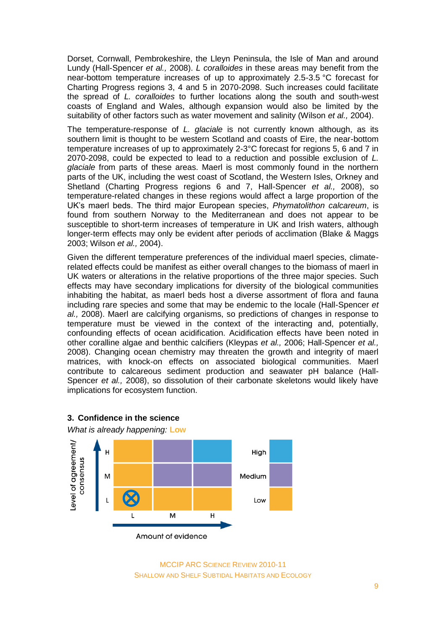Dorset, Cornwall, Pembrokeshire, the Lleyn Peninsula, the Isle of Man and around Lundy (Hall-Spencer *et al.,* 2008). *L coralloides* in these areas may benefit from the near-bottom temperature increases of up to approximately 2.5-3.5 °C forecast for Charting Progress regions 3, 4 and 5 in 2070-2098. Such increases could facilitate the spread of *L. coralloides* to further locations along the south and south-west coasts of England and Wales, although expansion would also be limited by the suitability of other factors such as water movement and salinity (Wilson *et al.,* 2004).

The temperature-response of *L. glaciale* is not currently known although, as its southern limit is thought to be western Scotland and coasts of Eire, the near-bottom temperature increases of up to approximately 2-3°C forecast for regions 5, 6 and 7 in 2070-2098, could be expected to lead to a reduction and possible exclusion of *L. glaciale* from parts of these areas. Maerl is most commonly found in the northern parts of the UK, including the west coast of Scotland, the Western Isles, Orkney and Shetland (Charting Progress regions 6 and 7, Hall-Spencer *et al.,* 2008), so temperature-related changes in these regions would affect a large proportion of the UK's maerl beds. The third major European species, *Phymatolithon calcareum*, is found from southern Norway to the Mediterranean and does not appear to be susceptible to short-term increases of temperature in UK and Irish waters, although longer-term effects may only be evident after periods of acclimation (Blake & Maggs 2003; Wilson *et al.,* 2004).

Given the different temperature preferences of the individual maerl species, climaterelated effects could be manifest as either overall changes to the biomass of maerl in UK waters or alterations in the relative proportions of the three major species. Such effects may have secondary implications for diversity of the biological communities inhabiting the habitat, as maerl beds host a diverse assortment of flora and fauna including rare species and some that may be endemic to the locale (Hall-Spencer *et al.,* 2008). Maerl are calcifying organisms, so predictions of changes in response to temperature must be viewed in the context of the interacting and, potentially, confounding effects of ocean acidification. Acidification effects have been noted in other coralline algae and benthic calcifiers (Kleypas *et al.,* 2006; Hall-Spencer *et al.,*  2008). Changing ocean chemistry may threaten the growth and integrity of maerl matrices, with knock-on effects on associated biological communities. Maerl contribute to calcareous sediment production and seawater pH balance (Hall-Spencer *et al.,* 2008), so dissolution of their carbonate skeletons would likely have implications for ecosystem function.



#### **3. Confidence in the science**

*What is already happening:* **Low**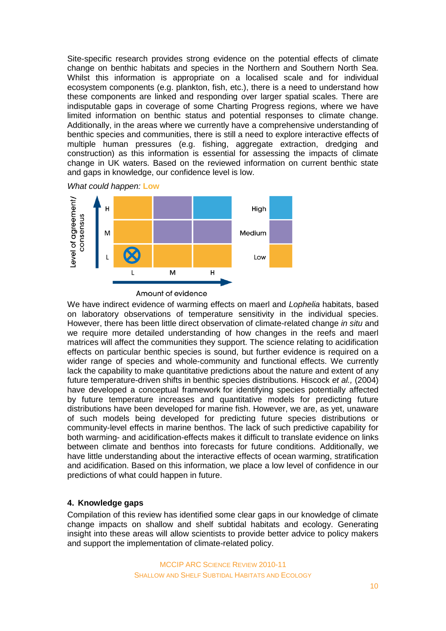Site-specific research provides strong evidence on the potential effects of climate change on benthic habitats and species in the Northern and Southern North Sea. Whilst this information is appropriate on a localised scale and for individual ecosystem components (e.g. plankton, fish, etc.), there is a need to understand how these components are linked and responding over larger spatial scales. There are indisputable gaps in coverage of some Charting Progress regions, where we have limited information on benthic status and potential responses to climate change. Additionally, in the areas where we currently have a comprehensive understanding of benthic species and communities, there is still a need to explore interactive effects of multiple human pressures (e.g. fishing, aggregate extraction, dredging and construction) as this information is essential for assessing the impacts of climate change in UK waters. Based on the reviewed information on current benthic state and gaps in knowledge, our confidence level is low.





Amount of evidence

We have indirect evidence of warming effects on maerl and *Lophelia* habitats, based on laboratory observations of temperature sensitivity in the individual species. However, there has been little direct observation of climate-related change *in situ* and we require more detailed understanding of how changes in the reefs and maerl matrices will affect the communities they support. The science relating to acidification effects on particular benthic species is sound, but further evidence is required on a wider range of species and whole-community and functional effects. We currently lack the capability to make quantitative predictions about the nature and extent of any future temperature-driven shifts in benthic species distributions. Hiscock *et al.,* (2004) have developed a conceptual framework for identifying species potentially affected by future temperature increases and quantitative models for predicting future distributions have been developed for marine fish. However, we are, as yet, unaware of such models being developed for predicting future species distributions or community-level effects in marine benthos. The lack of such predictive capability for both warming- and acidification-effects makes it difficult to translate evidence on links between climate and benthos into forecasts for future conditions. Additionally, we have little understanding about the interactive effects of ocean warming, stratification and acidification. Based on this information, we place a low level of confidence in our predictions of what could happen in future.

#### **4. Knowledge gaps**

Compilation of this review has identified some clear gaps in our knowledge of climate change impacts on shallow and shelf subtidal habitats and ecology. Generating insight into these areas will allow scientists to provide better advice to policy makers and support the implementation of climate-related policy.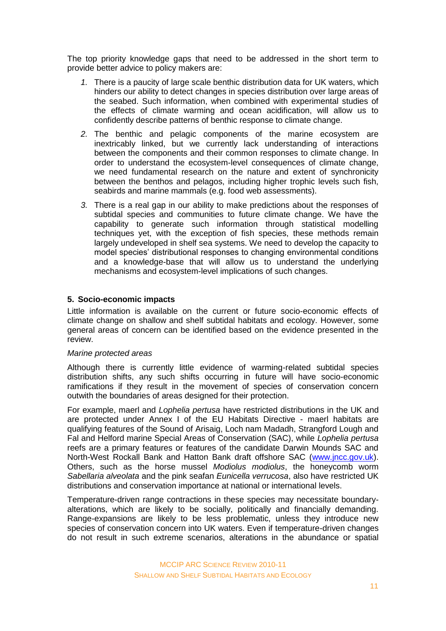The top priority knowledge gaps that need to be addressed in the short term to provide better advice to policy makers are:

- *1.* There is a paucity of large scale benthic distribution data for UK waters, which hinders our ability to detect changes in species distribution over large areas of the seabed. Such information, when combined with experimental studies of the effects of climate warming and ocean acidification, will allow us to confidently describe patterns of benthic response to climate change.
- *2.* The benthic and pelagic components of the marine ecosystem are inextricably linked, but we currently lack understanding of interactions between the components and their common responses to climate change. In order to understand the ecosystem-level consequences of climate change, we need fundamental research on the nature and extent of synchronicity between the benthos and pelagos, including higher trophic levels such fish, seabirds and marine mammals (e.g. food web assessments).
- *3.* There is a real gap in our ability to make predictions about the responses of subtidal species and communities to future climate change. We have the capability to generate such information through statistical modelling techniques yet, with the exception of fish species, these methods remain largely undeveloped in shelf sea systems. We need to develop the capacity to model species' distributional responses to changing environmental conditions and a knowledge-base that will allow us to understand the underlying mechanisms and ecosystem-level implications of such changes.

### **5. Socio-economic impacts**

Little information is available on the current or future socio-economic effects of climate change on shallow and shelf subtidal habitats and ecology. However, some general areas of concern can be identified based on the evidence presented in the review.

#### *Marine protected areas*

Although there is currently little evidence of warming-related subtidal species distribution shifts, any such shifts occurring in future will have socio-economic ramifications if they result in the movement of species of conservation concern outwith the boundaries of areas designed for their protection.

For example, maerl and *Lophelia pertusa* have restricted distributions in the UK and are protected under Annex I of the EU Habitats Directive - maerl habitats are qualifying features of the Sound of Arisaig, Loch nam Madadh, Strangford Lough and Fal and Helford marine Special Areas of Conservation (SAC), while *Lophelia pertusa* reefs are a primary features or features of the candidate Darwin Mounds SAC and North-West Rockall Bank and Hatton Bank draft offshore SAC [\(www.jncc.gov.uk\)](http://www.jncc.gov.uk/). Others, such as the horse mussel *Modiolus modiolus*, the honeycomb worm *Sabellaria alveolata* and the pink seafan *Eunicella verrucosa*, also have restricted UK distributions and conservation importance at national or international levels.

Temperature-driven range contractions in these species may necessitate boundaryalterations, which are likely to be socially, politically and financially demanding. Range-expansions are likely to be less problematic, unless they introduce new species of conservation concern into UK waters. Even if temperature-driven changes do not result in such extreme scenarios, alterations in the abundance or spatial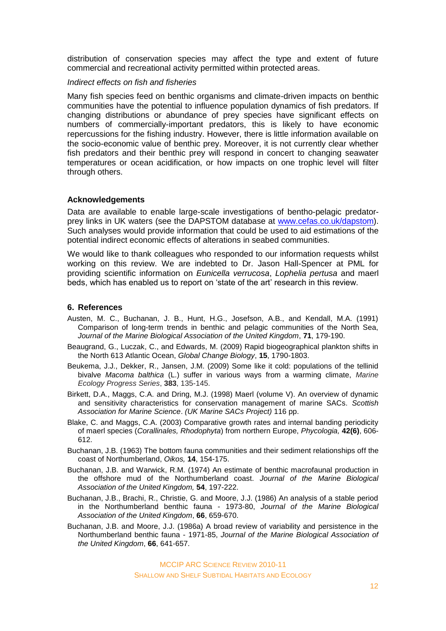distribution of conservation species may affect the type and extent of future commercial and recreational activity permitted within protected areas.

#### *Indirect effects on fish and fisheries*

Many fish species feed on benthic organisms and climate-driven impacts on benthic communities have the potential to influence population dynamics of fish predators. If changing distributions or abundance of prey species have significant effects on numbers of commercially-important predators, this is likely to have economic repercussions for the fishing industry. However, there is little information available on the socio-economic value of benthic prey. Moreover, it is not currently clear whether fish predators and their benthic prey will respond in concert to changing seawater temperatures or ocean acidification, or how impacts on one trophic level will filter through others.

#### **Acknowledgements**

Data are available to enable large-scale investigations of bentho-pelagic predatorprey links in UK waters (see the DAPSTOM database at [www.cefas.co.uk/dapstom\)](http://www.cefas.co.uk/dapstom). Such analyses would provide information that could be used to aid estimations of the potential indirect economic effects of alterations in seabed communities.

We would like to thank colleagues who responded to our information requests whilst working on this review. We are indebted to Dr. Jason Hall-Spencer at PML for providing scientific information on *Eunicella verrucosa*, *Lophelia pertusa* and maerl beds, which has enabled us to report on 'state of the art' research in this review.

#### **6. References**

- Austen, M. C., Buchanan, J. B., Hunt, H.G., Josefson, A.B., and Kendall, M.A. (1991) Comparison of long-term trends in benthic and pelagic communities of the North Sea, *Journal of the Marine Biological Association of the United Kingdom*, **71**, 179-190.
- Beaugrand, G., Luczak, C., and Edwards, M. (2009) Rapid biogeographical plankton shifts in the North 613 Atlantic Ocean, *Global Change Biology*, **15**, 1790-1803.
- Beukema, J.J., Dekker, R., Jansen, J.M. (2009) Some like it cold: populations of the tellinid bivalve *Macoma balthica* (L.) suffer in various ways from a warming climate, *Marine Ecology Progress Series*, **383**, 135-145.
- Birkett, D.A., Maggs, C.A. and Dring, M.J. (1998) Maerl (volume V). An overview of dynamic and sensitivity characteristics for conservation management of marine SACs. *Scottish Association for Marine Science*. *(UK Marine SACs Project)* 116 pp.
- Blake, C. and Maggs, C.A. (2003) Comparative growth rates and internal banding periodicity of maerl species (*Corallinales, Rhodophyta*) from northern Europe, *Phycologia,* **42(6)**, 606- 612.
- Buchanan, J.B. (1963) The bottom fauna communities and their sediment relationships off the coast of Northumberland, *Oikos,* **14**, 154-175.
- Buchanan, J.B. and Warwick, R.M. (1974) An estimate of benthic macrofaunal production in the offshore mud of the Northumberland coast. *Journal of the Marine Biological Association of the United Kingdom,* **54**, 197-222.
- Buchanan, J.B., Brachi, R., Christie, G. and Moore, J.J. (1986) An analysis of a stable period in the Northumberland benthic fauna - 1973-80, *Journal of the Marine Biological Association of the United Kingdom*, **66**, 659-670.
- Buchanan, J.B. and Moore, J.J. (1986a) A broad review of variability and persistence in the Northumberland benthic fauna - 1971-85, *Journal of the Marine Biological Association of the United Kingdom*, **66**, 641-657.

MCCIP ARC SCIENCE REVIEW 2010-11 SHALLOW AND SHELF SUBTIDAL HABITATS AND ECOLOGY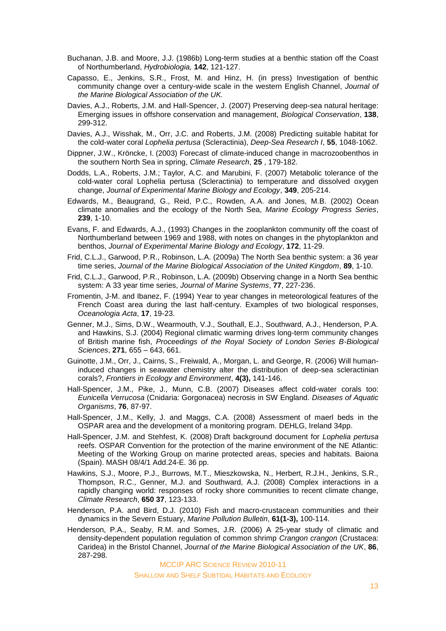- Buchanan, J.B. and Moore, J.J. (1986b) Long-term studies at a benthic station off the Coast of Northumberland, *Hydrobiologia,* **142**, 121-127.
- Capasso, E., Jenkins, S.R., Frost, M. and Hinz, H. (in press) Investigation of benthic community change over a century-wide scale in the western English Channel, *Journal of the Marine Biological Association of the UK.*
- Davies, A.J., Roberts, J.M. and Hall-Spencer, J. (2007) Preserving deep-sea natural heritage: Emerging issues in offshore conservation and management, *Biological Conservation*, **138**, 299-312.
- Davies, A.J., Wisshak, M., Orr, J.C. and Roberts, J.M. (2008) Predicting suitable habitat for the cold-water coral *Lophelia pertusa* (Scleractinia), *Deep-Sea Research I*, **55**, 1048-1062.
- Dippner, J.W., Kröncke, I. (2003) Forecast of climate-induced change in macrozoobenthos in the southern North Sea in spring, *Climate Research*, **25** , 179-182.
- Dodds, L.A., Roberts, J.M.; Taylor, A.C. and Marubini, F. (2007) Metabolic tolerance of the cold-water coral Lophelia pertusa (Scleractinia) to temperature and dissolved oxygen change, *Journal of Experimental Marine Biology and Ecology*, **349**, 205-214.
- Edwards, M., Beaugrand, G., Reid, P.C., Rowden, A.A. and Jones, M.B. (2002) Ocean climate anomalies and the ecology of the North Sea, *Marine Ecology Progress Series*, **239**, 1-10.
- Evans, F. and Edwards, A.J., (1993) Changes in the zooplankton community off the coast of Northumberland between 1969 and 1988, with notes on changes in the phytoplankton and benthos, *Journal of Experimental Marine Biology and Ecology*, **172**, 11-29.
- Frid, C.L.J., Garwood, P.R., Robinson, L.A. (2009a) The North Sea benthic system: a 36 year time series, *Journal of the Marine Biological Association of the United Kingdom*, **89**, 1-10.
- Frid, C.L.J., Garwood, P.R., Robinson, L.A. (2009b) Observing change in a North Sea benthic system: A 33 year time series, *Journal of Marine Systems*, **77**, 227-236.
- Fromentin, J-M. and Ibanez, F. (1994) Year to year changes in meteorological features of the French Coast area during the last half-century. Examples of two biological responses, *Oceanologia Acta*, **17**, 19-23.
- Genner, M.J., Sims, D.W., Wearmouth, V.J., Southall, E.J., Southward, A.J., Henderson, P.A. and Hawkins, S.J. (2004) Regional climatic warming drives long-term community changes of British marine fish, *Proceedings of the Royal Society of London Series B-Biological Sciences*, **271**, 655 – 643, 661.
- Guinotte, J.M., Orr, J., Cairns, S., Freiwald, A., Morgan, L. and George, R. (2006) Will humaninduced changes in seawater chemistry alter the distribution of deep-sea scleractinian corals?, *Frontiers in Ecology and Environment*, **4(3),** 141-146.
- Hall-Spencer, J.M., Pike, J., Munn, C.B. (2007) Diseases affect cold-water corals too: *Eunicella Verrucosa* (Cnidaria: Gorgonacea) necrosis in SW England. *Diseases of Aquatic Organisms*, **76**, 87-97.
- Hall-Spencer, J.M., Kelly, J. and Maggs, C.A. (2008) Assessment of maerl beds in the OSPAR area and the development of a monitoring program. DEHLG, Ireland 34pp.
- Hall-Spencer, J.M. and Stehfest, K. (2008) Draft background document for *Lophelia pertusa* reefs. OSPAR Convention for the protection of the marine environment of the NE Atlantic: Meeting of the Working Group on marine protected areas, species and habitats. Baiona (Spain). MASH 08/4/1 Add.24-E. 36 pp.
- Hawkins, S.J., Moore, P.J., Burrows, M.T., Mieszkowska, N., Herbert, R.J.H., Jenkins, S.R., Thompson, R.C., Genner, M.J. and Southward, A.J. (2008) Complex interactions in a rapidly changing world: responses of rocky shore communities to recent climate change, *Climate Research*, **650 37**, 123-133.
- Henderson, P.A. and Bird, D.J. (2010) Fish and macro-crustacean communities and their dynamics in the Severn Estuary, *Marine Pollution Bulletin*, **61(1-3),** 100-114.
- Henderson, P.A., Seaby, R.M. and Somes, J.R. (2006) A 25-year study of climatic and density-dependent population regulation of common shrimp *Crangon crangon* (Crustacea: Caridea) in the Bristol Channel, *Journal of the Marine Biological Association of the UK*, **86**, 287-298.

MCCIP ARC SCIENCE REVIEW 2010-11

SHALLOW AND SHELF SUBTIDAL HABITATS AND ECOLOGY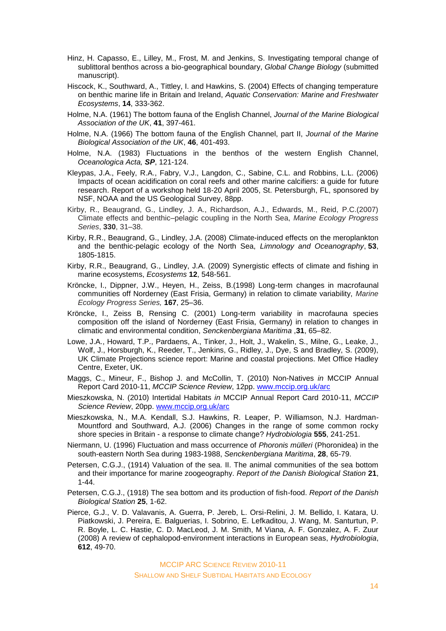- Hinz, H. Capasso, E., Lilley, M., Frost, M. and Jenkins, S. Investigating temporal change of sublittoral benthos across a bio-geographical boundary, *Global Change Biology* (submitted manuscript).
- Hiscock, K., Southward, A., Tittley, I. and Hawkins, S. (2004) Effects of changing temperature on benthic marine life in Britain and Ireland, *Aquatic Conservation: Marine and Freshwater Ecosystems*, **14**, 333-362.
- Holme, N.A. (1961) The bottom fauna of the English Channel, *Journal of the Marine Biological Association of the UK*, **41**, 397-461.
- Holme, N.A. (1966) The bottom fauna of the English Channel, part II, *Journal of the Marine Biological Association of the UK*, **46**, 401-493.
- Holme, N.A. (1983) Fluctuations in the benthos of the western English Channel, *Oceanologica Acta, SP*, 121-124.
- Kleypas, J.A., Feely, R.A., Fabry, V.J., Langdon, C., Sabine, C.L. and Robbins, L.L. (2006) Impacts of ocean acidification on coral reefs and other marine calcifiers: a guide for future research. Report of a workshop held 18-20 April 2005, St. Petersburgh, FL, sponsored by NSF, NOAA and the US Geological Survey, 88pp.
- Kirby, R., Beaugrand, G., Lindley, J. A., Richardson, A.J., Edwards, M., Reid, P.C.(2007) Climate effects and benthic–pelagic coupling in the North Sea, *Marine Ecology Progress Series*, **330**, 31–38.
- Kirby, R.R., Beaugrand, G., Lindley, J.A. (2008) Climate-induced effects on the meroplankton and the benthic-pelagic ecology of the North Sea, *Limnology and Oceanography*, **53**, 1805-1815.
- Kirby, R.R., Beaugrand, G., Lindley, J.A. (2009) Synergistic effects of climate and fishing in marine ecosystems, *Ecosystems* **12**, 548-561.
- Kröncke, I., Dippner, J.W., Heyen, H., Zeiss, B.(1998) Long-term changes in macrofaunal communities off Norderney (East Frisia, Germany) in relation to climate variability, *Marine Ecology Progress Series,* **167**, 25–36.
- Kröncke, I., Zeiss B, Rensing C. (2001) Long-term variability in macrofauna species composition off the island of Norderney (East Frisia, Germany) in relation to changes in climatic and environmental condition, *Senckenbergiana Maritima* ,**31**, 65–82.
- Lowe, J.A., Howard, T.P., Pardaens, A., Tinker, J., Holt, J., Wakelin, S., Milne, G., Leake, J., Wolf, J., Horsburgh, K., Reeder, T., Jenkins, G., Ridley, J., Dye, S and Bradley, S. (2009), UK Climate Projections science report: Marine and coastal projections. Met Office Hadley Centre, Exeter, UK.
- Maggs, C., Mineur, F., Bishop J. and McCollin, T. (2010) Non-Natives *in* MCCIP Annual Report Card 2010-11, *MCCIP Science Review*, 12pp. [www.mccip.org.uk/arc](http://www.mccip.org.uk/arc)
- Mieszkowska, N. (2010) Intertidal Habitats *in* MCCIP Annual Report Card 2010-11, *MCCIP Science Review*, 20pp. [www.mccip.org.uk/arc](http://www.mccip.org.uk/arc)
- Mieszkowska, N., M.A. Kendall, S.J. Hawkins, R. Leaper, P. Williamson, N.J. Hardman-Mountford and Southward, A.J. (2006) Changes in the range of some common rocky shore species in Britain - a response to climate change? *Hydrobiologia* **555**, 241-251.
- Niermann, U. (1996) Fluctuation and mass occurrence of *Phoronis mülleri* (Phoronidea) in the south-eastern North Sea during 1983-1988, *Senckenbergiana Maritima*, **28**, 65-79.
- Petersen, C.G.J., (1914) Valuation of the sea. II. The animal communities of the sea bottom and their importance for marine zoogeography. *Report of the Danish Biological Station* **21**, 1-44.
- Petersen, C.G.J., (1918) The sea bottom and its production of fish-food. *Report of the Danish Biological Station* **25**, 1-62.
- Pierce, G.J., V. D. Valavanis, A. Guerra, P. Jereb, L. Orsi-Relini, J. M. Bellido, I. Katara, U. Piatkowski, J. Pereira, E. Balguerias, I. Sobrino, E. Lefkaditou, J. Wang, M. Santurtun, P. R. Boyle, L. C. Hastie, C. D. MacLeod, J. M. Smith, M Viana, A. F. Gonzalez, A. F. Zuur (2008) A review of cephalopod-environment interactions in European seas, *Hydrobiologia*, **612**, 49-70.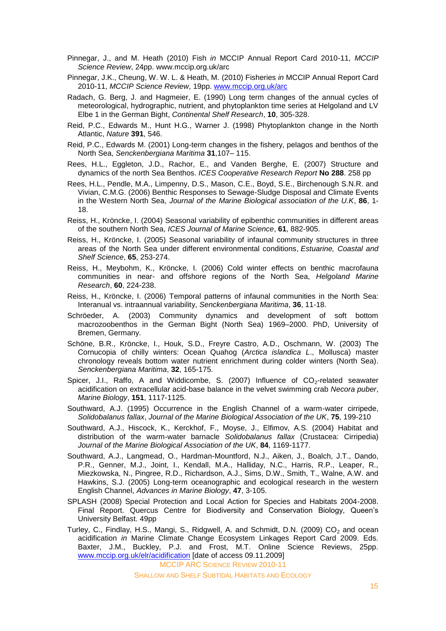- Pinnegar, J., and M. Heath (2010) Fish *in* MCCIP Annual Report Card 2010-11, *MCCIP Science Review*, 24pp. [www.mccip.org.uk/arc](http://www.mccip.org.uk/arc)
- Pinnegar, J.K., Cheung, W. W. L. & Heath, M. (2010) Fisheries *in* MCCIP Annual Report Card 2010-11, *MCCIP Science Review*, 19pp. [www.mccip.org.uk/arc](http://www.mccip.org.uk/arc)
- Radach, G. Berg, J. and Hagmeier, E. (1990) Long term changes of the annual cycles of meteorological, hydrographic, nutrient, and phytoplankton time series at Helgoland and LV Elbe 1 in the German Bight, *Continental Shelf Research*, **10**, 305-328.
- Reid, P.C., Edwards M., Hunt H.G., Warner J. (1998) Phytoplankton change in the North Atlantic, *Nature* **391**, 546.
- Reid, P.C., Edwards M. (2001) Long-term changes in the fishery, pelagos and benthos of the North Sea, *Senckenbergiana Maritima* **31**,107– 115.
- Rees, H.L., Eggleton, J.D., Rachor, E., and Vanden Berghe, E. (2007) Structure and dynamics of the north Sea Benthos. *ICES Cooperative Research Report* **No 288**. 258 pp
- Rees, H.L., Pendle, M.A., Limpenny, D.S., Mason, C.E., Boyd, S.E., Birchenough S.N.R. and Vivian, C.M.G. (2006) Benthic Responses to Sewage-Sludge Disposal and Climate Events in the Western North Sea, *Journal of the Marine Biological association of the U.K*, **86**, 1- 18.
- Reiss, H., Kröncke, I. (2004) Seasonal variability of epibenthic communities in different areas of the southern North Sea, *ICES Journal of Marine Science*, **61**, 882-905.
- Reiss, H., Kröncke, I. (2005) Seasonal variability of infaunal community structures in three areas of the North Sea under different environmental conditions, *Estuarine, Coastal and Shelf Science*, **65**, 253-274.
- Reiss, H., Meybohm, K., Kröncke, I. (2006) Cold winter effects on benthic macrofauna communities in near- and offshore regions of the North Sea, *Helgoland Marine Research*, **60**, 224-238.
- Reiss, H., Kröncke, I. (2006) Temporal patterns of infaunal communities in the North Sea: Interanual vs. intraannual variability, *Senckenbergiana Maritima*, **36**, 11-18.
- Schröeder, A. (2003) Community dynamics and development of soft bottom macrozoobenthos in the German Bight (North Sea) 1969–2000. PhD, University of Bremen, Germany.
- Schöne, B.R., Kröncke, I., Houk, S.D., Freyre Castro, A.D., Oschmann, W. (2003) The Cornucopia of chilly winters: Ocean Quahog (*Arctica islandica L*., Mollusca) master chronology reveals bottom water nutrient enrichment during colder winters (North Sea). *Senckenbergiana Maritima*, **32**, 165-175.
- Spicer, J.I., Raffo, A and Widdicombe, S. (2007) Influence of  $CO_2$ -related seawater acidification on extracellular acid-base balance in the velvet swimming crab *Necora puber*, *Marine Biology*, **151**, 1117-1125.
- Southward, A.J. (1995) Occurrence in the English Channel of a warm-water cirripede, *Solidobalanus fallax*, *Journal of the Marine Biological Association of the UK*, **75**, 199-210
- Southward, A.J., Hiscock, K., Kerckhof, F., Moyse, J., Elfimov, A.S. (2004) Habitat and distribution of the warm-water barnacle *Solidobalanus fallax* (Crustacea: Cirripedia) *Journal of the Marine Biological Association of the UK*, **84**, 1169-1177.
- Southward, A.J., Langmead, O., Hardman-Mountford, N.J., Aiken, J., Boalch, J.T., Dando, P.R., Genner, M.J., Joint, I., Kendall, M.A., Halliday, N.C., Harris, R.P., Leaper, R., Miezkowska, N., Pingree, R.D., Richardson, A.J., Sims, D.W., Smith, T., Walne, A.W. and Hawkins, S.J. (2005) Long-term oceanographic and ecological research in the western English Channel, *Advances in Marine Biology*, **47**, 3-105.
- SPLASH (2008) Special Protection and Local Action for Species and Habitats 2004-2008. Final Report. Quercus Centre for Biodiversity and Conservation Biology, Queen's University Belfast. 49pp
- Turley, C., Findlay, H.S., Mangi, S., Ridgwell, A. and Schmidt, D.N. (2009) CO<sub>2</sub> and ocean acidification *in* Marine Climate Change Ecosystem Linkages Report Card 2009. Eds. Baxter, J.M., Buckley, P.J. and Frost, M.T. Online Science Reviews, 25pp. [www.mccip.org.uk/elr/acidification](http://www.mccip.org.uk/elr/acidification) [date of access 09.11.2009]

MCCIP ARC SCIENCE REVIEW 2010-11

SHALLOW AND SHELF SUBTIDAL HABITATS AND ECOLOGY